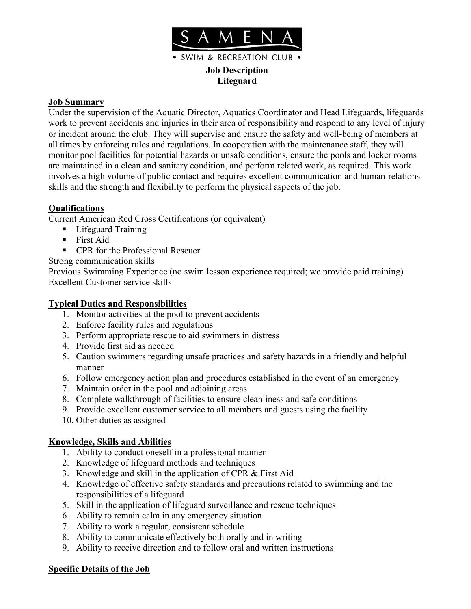

**Job Description Lifeguard**

· SWIM & RECREATION CLUB .

## **Job Summary**

Under the supervision of the Aquatic Director, Aquatics Coordinator and Head Lifeguards, lifeguards work to prevent accidents and injuries in their area of responsibility and respond to any level of injury or incident around the club. They will supervise and ensure the safety and well-being of members at all times by enforcing rules and regulations. In cooperation with the maintenance staff, they will monitor pool facilities for potential hazards or unsafe conditions, ensure the pools and locker rooms are maintained in a clean and sanitary condition, and perform related work, as required. This work involves a high volume of public contact and requires excellent communication and human-relations skills and the strength and flexibility to perform the physical aspects of the job.

## **Qualifications**

Current American Red Cross Certifications (or equivalent)

- **Lifeguard Training**
- **First Aid**
- CPR for the Professional Rescuer

Strong communication skills

Previous Swimming Experience (no swim lesson experience required; we provide paid training) Excellent Customer service skills

# **Typical Duties and Responsibilities**

- 1. Monitor activities at the pool to prevent accidents
- 2. Enforce facility rules and regulations
- 3. Perform appropriate rescue to aid swimmers in distress
- 4. Provide first aid as needed
- 5. Caution swimmers regarding unsafe practices and safety hazards in a friendly and helpful manner
- 6. Follow emergency action plan and procedures established in the event of an emergency
- 7. Maintain order in the pool and adjoining areas
- 8. Complete walkthrough of facilities to ensure cleanliness and safe conditions
- 9. Provide excellent customer service to all members and guests using the facility
- 10. Other duties as assigned

## **Knowledge, Skills and Abilities**

- 1. Ability to conduct oneself in a professional manner
- 2. Knowledge of lifeguard methods and techniques
- 3. Knowledge and skill in the application of CPR & First Aid
- 4. Knowledge of effective safety standards and precautions related to swimming and the responsibilities of a lifeguard
- 5. Skill in the application of lifeguard surveillance and rescue techniques
- 6. Ability to remain calm in any emergency situation
- 7. Ability to work a regular, consistent schedule
- 8. Ability to communicate effectively both orally and in writing
- 9. Ability to receive direction and to follow oral and written instructions

#### **Specific Details of the Job**